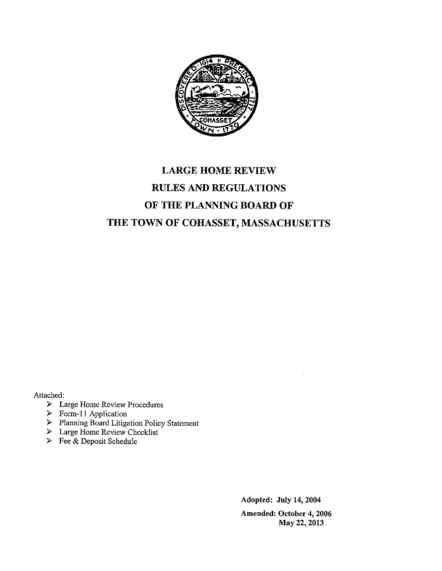

# LARGE HOME REVIEW RULES AND REGULATIONS OF THE PLANNING BOARD OF THE TOWN OF COHASSET, MASSACHUSETTS

Attached:

- > Large Home Review Procedures
- $\triangleright$  Form-11 Application
- > Planning Board Litigation Policy Statement
- > Large Home Review Checklist
- > Fee & Deposit Schedule

Adopted: July 14, 2004 Amended: October 4, 2006 May 22, 2013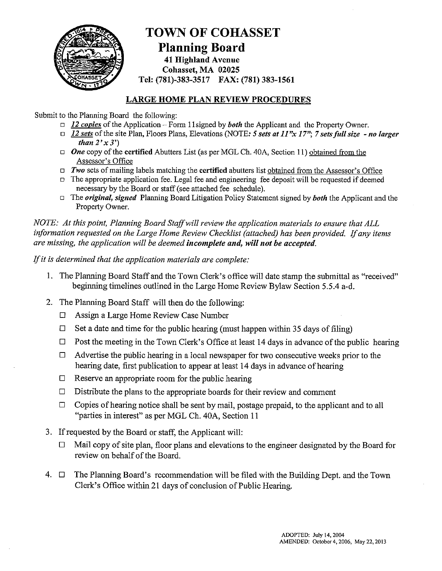

### TOWN OF COHASSET Planning Board 41 Highland Avenue Cohasset, MA 02025 Tel: (781)-383-3517 FAX: (781) 383-1561

#### LARGE HOME PLAN REVIEW PROCEDURES

Submit to the Planning Board the following:

- $\Box$  12 copies of the Application Form 11 signed by both the Applicant and the Property Owner.
- $\Box$  12 sets of the site Plan, Floors Plans, Elevations (NOTE: 5 sets at 11"x 17"; 7 sets full size no larger than  $2'x3'$
- $\Box$  One copy of the **certified** Abutters List (as per MGL Ch. 40A, Section 11) obtained from the Assessor's Office
- $\Box$  Two sets of mailing labels matching the certified abutters list obtained from the Assessor's Office
- $\Box$  The appropriate application fee. Legal fee and engineering fee deposit will be requested if deemed necessary by the Board or staff (see attached fee schedule).
- $\Box$  The *original, signed* Planning Board Litigation Policy Statement signed by *both* the Applicant and the Property Owner.

NOTE: At this point, Planning Board Staffwill review the application materials to ensure that ALL information requested on the Large Home Review Checklist (attached) has been provided. If any items are missing, the application will be deemed incomplete and, will not be accepted.

If it is determined that the application materials are complete:

- 1. The Planning Board Staff and the Town Clerk's office will date stamp the submittal as "received" beginning timelines outlined in the Large Home Review Bylaw Section 5.5.4 a-d.
- 2. The Planning Board Staff will then do the following:
	- LI Assign a Large Home Review Case Number
	- $\Box$  Set a date and time for the public hearing (must happen within 35 days of filing)
	- $\Box$  Post the meeting in the Town Clerk's Office at least 14 days in advance of the public hearing
	- $\Box$  Advertise the public hearing in a local newspaper for two consecutive weeks prior to the hearing date, first publication to appear at least 14 days in advance of hearing
	- $\Box$  Reserve an appropriate room for the public hearing
	- $\Box$  Distribute the plans to the appropriate boards for their review and comment
	- $\Box$  Copies of hearing notice shall be sent by mail, postage prepaid, to the applicant and to all "parties in interest" as per MGL Ch. 40A, Section <sup>11</sup>
- 3. If requested by the Board or staff; the Applicant will:
	- $\Box$  Mail copy of site plan, floor plans and elevations to the engineer designated by the Board for review on behalf of the Board.
- 4.  $\Box$  The Planning Board's recommendation will be filed with the Building Dept. and the Town Clerk's Office within 21 days of conclusion of Public Hearing.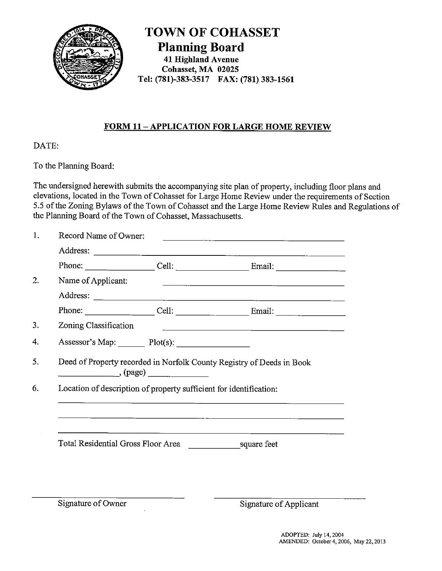

TOWN OF COHASSET Planning Board 41 Highland Avenue Cohasset, MA 02025 )% OIIASSET Tel: (781)-383-3517 FAX: (781) 383-1561

### FORM 11-APPLICATION FOR LARGE HOME REVIEW

DATE:

To the Planning Board:

The undersigned herewith submits the accompanying site plan of property, including floor plans and elevations, located in the Town of Cohasset for Large Home Review under the requirements of Section 5.5 of the Zoning Bylaws of the Town of Cohasset and the Large Home Review Rules and Regulations of the Planning Board of the Town of Cohasset, Massachusetts.

| Record Name of Owner: |                                                                              | <u> 1989 - John Harry Barn, mars and deutscher Schwarzer and deutscher Schwarzer and deutscher Schwarzer and deuts</u>                                                                                                               |
|-----------------------|------------------------------------------------------------------------------|--------------------------------------------------------------------------------------------------------------------------------------------------------------------------------------------------------------------------------------|
|                       |                                                                              | Address: <u>and a series of the series of the series of the series of the series of the series of the series of the series of the series of the series of the series of the series of the series of the series of the series of </u> |
|                       |                                                                              |                                                                                                                                                                                                                                      |
| Name of Applicant:    |                                                                              |                                                                                                                                                                                                                                      |
|                       |                                                                              |                                                                                                                                                                                                                                      |
|                       |                                                                              | Phone: $\qquad \qquad \text{Cell:} \qquad \qquad \text{Email:}$                                                                                                                                                                      |
| Zoning Classification |                                                                              | <u> 1989 - Johann Harry Harry Harry Harry Harry Harry Harry Harry Harry Harry Harry Harry Harry Harry Harry Harry</u>                                                                                                                |
|                       |                                                                              |                                                                                                                                                                                                                                      |
|                       | (page)<br>Location of description of property sufficient for identification: | Deed of Property recorded in Norfolk County Registry of Deeds in Book                                                                                                                                                                |
|                       |                                                                              |                                                                                                                                                                                                                                      |
|                       |                                                                              |                                                                                                                                                                                                                                      |
|                       |                                                                              |                                                                                                                                                                                                                                      |
|                       | Total Residential Gross Floor Area                                           | square feet                                                                                                                                                                                                                          |
|                       |                                                                              |                                                                                                                                                                                                                                      |

Signature of Owner Signature of Applicant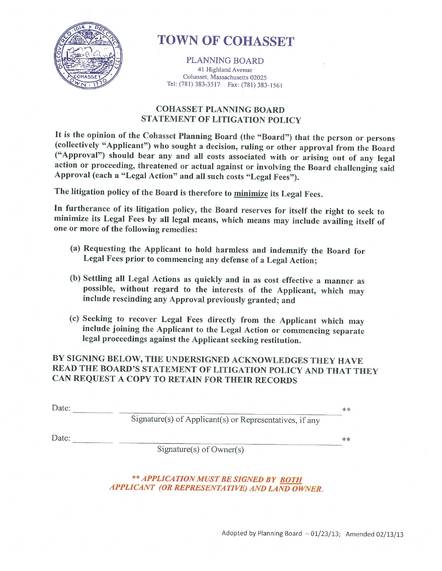

# **TOWN OF COHASSET**

PLANNING BOARD 41 Highland Avenue Cohasset, Massachusetts 02025 Tel: (781) 383-3517 Fax: (781) 383-1561

### COHASSET PLANNING BOARD STATEMENT OF LITIGATION POLICY

It is the opinion of the Cohasset Planning Board (the "Board") that the person or persons (collectively "Applicant") who sought <sup>a</sup> decision, ruling or other approval from the Board ("Approval") should bear any and all costs associated with or arising out of any legal action or proceeding, threatened or actual against or involving the Board challenging said Approval (each a "Legal Action" and all such costs "Legal Fees").

The litigation policy of the Board is therefore to minimize its Legal Fees.

In furtherance of its litigation policy, the Board reserves for itself the right to seek to minimize its Legal Fees by all legal means, which means may include availing itself of one or more of the following remedies:

- (a) Requesting the Applicant to hold harmless and indemnify the Board for Legal Fees prior to commencing any defense of <sup>a</sup> Legal Action;
- (b) Settling all Legal Actions as quickly and in as cost effective a manner as possible, without regard to the interests of the Applicant, which may include rescinding any Approval previously granted; and
- (c) Seeking to recover Legal Fees directly from the Applicant which may include joining the Applicant to the Legal Action or commencing separate legal proceedings against the Applicant seeking restitution.

BY SIGNING BELOW, THE UNDERSIGNED ACKNOWLEDGES THEY HAVE READ THE BOARD'S STATEMENT OF LITIGATION POLICY AND THAT THEY CAN REQUEST A COPY TO RETAIN FOR THEIR RECORDS

| Date: |                                                         | ** |
|-------|---------------------------------------------------------|----|
|       | Signature(s) of Applicant(s) or Representatives, if any |    |
| Date: |                                                         | ** |
|       | Signature(s) of $Owner(s)$                              |    |

\*\* APPLICATION MUST BE SIGNED BY BOTH APPLICANT (OR REPRESENTATIVE) AND LAND OWNE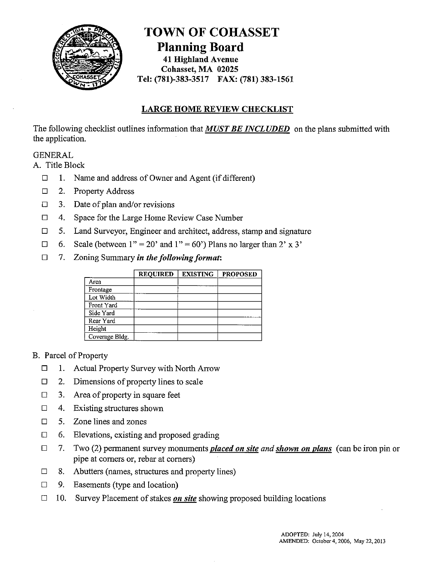

### TOWN OF COHASSET Planning Board 41 Highland Avenue Cohasset, MA 02025 Tel: (781)-383-3517 FAX: (781) 383-1561

### LARGE HOME REVIEW CHECKLIST

The following checklist outlines information that **MUST BE INCLUDED** on the plans submitted with the application.

### GENERAL

A. Title Block

- $\Box$  1. Name and address of Owner and Agent (if different)
- $\Box$  2. Property Address
- $\Box$  3. Date of plan and/or revisions
- $\Box$  4. Space for the Large Home Review Case Number
- $\Box$  5. Land Surveyor, Engineer and architect, address, stamp and signature
- $\Box$  6. Scale (between 1" = 20' and 1" = 60') Plans no larger than 2' x 3'
- $\Box$  7. Zoning Summary in the following format:

|                | <b>REQUIRED</b> | <b>EXISTING</b> | <b>PROPOSED</b> |
|----------------|-----------------|-----------------|-----------------|
| Area           |                 |                 |                 |
| Frontage       |                 |                 |                 |
| Lot Width      |                 |                 |                 |
| Front Yard     |                 |                 |                 |
| Side Yard      |                 |                 |                 |
| Rear Yard      |                 |                 |                 |
| Height         |                 |                 |                 |
| Coverage Bldg. |                 |                 |                 |

#### B. Parcel of Property

- $\Box$  1. Actual Property Survey with North Arrow
- $\Box$  2. Dimensions of property lines to scale
- $\Box$  3. Area of property in square feet
- $\Box$  4. Existing structures shown
- $\Box$  5. Zone lines and zones
- $\Box$  6. Elevations, existing and proposed grading
- $\Box$  7. Two (2) permanent survey monuments *placed on site and shown on plans* (can be iron pin or pipe at corners or, rebar at corners)
- $\Box$  8. Abutters (names, structures and property lines)
- $\Box$  9. Easements (type and location)
- $\Box$  10. Survey Placement of stakes on site showing proposed building locations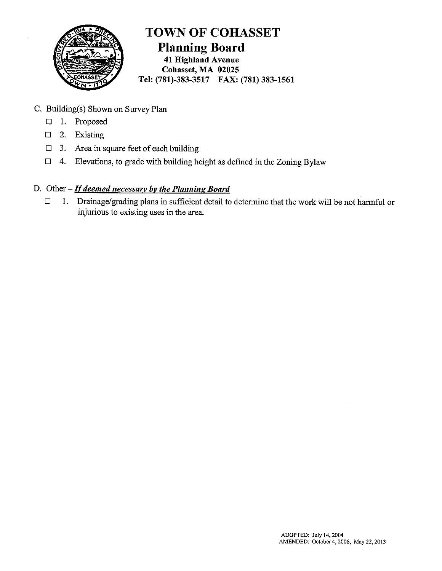

TOWN OF COHASSET Planning Board 41 Highland Avenue Cohasset, MA 02025 Tel: (781)-383-3517 FAX: (781) 383-1561

- C. Building(s) Shown on Survey Plan
	- D 1. Proposed
	- $\Box$  2. Existing
	- $\Box$  3. Area in square feet of each building
	- $\Box$  4. Elevations, to grade with building height as defined in the Zoning Bylaw
- D. Other  $-If$  deemed necessary by the Planning Board
	- $\Box$  1. Drainage/grading plans in sufficient detail to determine that the work will be not harmful or injurious to existing uses in the area.